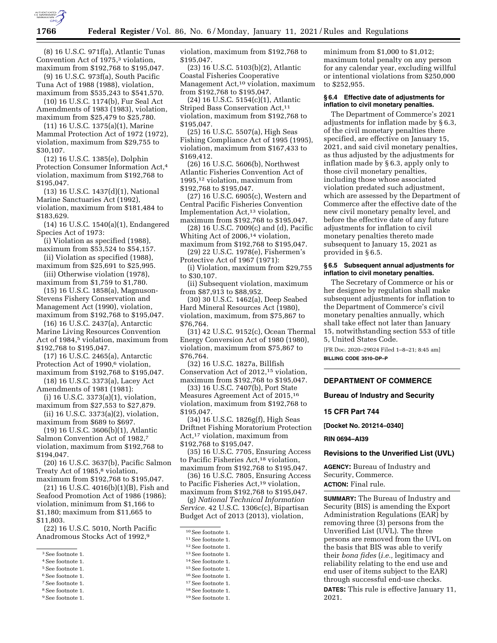

(8) 16 U.S.C. 971f(a), Atlantic Tunas Convention Act of 1975,<sup>3</sup> violation, maximum from \$192,768 to \$195,047.

(9) 16 U.S.C. 973f(a), South Pacific Tuna Act of 1988 (1988), violation, maximum from \$535,243 to \$541,570.

(10) 16 U.S.C. 1174(b), Fur Seal Act Amendments of 1983 (1983), violation, maximum from \$25,479 to \$25,780.

(11) 16 U.S.C. 1375(a)(1), Marine Mammal Protection Act of 1972 (1972), violation, maximum from \$29,755 to \$30,107.

(12) 16 U.S.C. 1385(e), Dolphin Protection Consumer Information Act,4 violation, maximum from \$192,768 to \$195,047.

(13) 16 U.S.C. 1437(d)(1), National Marine Sanctuaries Act (1992), violation, maximum from \$181,484 to \$183,629.

(14) 16 U.S.C. 1540(a)(1), Endangered Species Act of 1973:

(i) Violation as specified (1988), maximum from \$53,524 to \$54,157.

(ii) Violation as specified (1988), maximum from \$25,691 to \$25,995.

(iii) Otherwise violation (1978), maximum from \$1,759 to \$1,780.

(15) 16 U.S.C. 1858(a), Magnuson-Stevens Fishery Conservation and Management Act (1990), violation, maximum from \$192,768 to \$195,047.

(16) 16 U.S.C. 2437(a), Antarctic Marine Living Resources Convention Act of 1984,<sup>5</sup> violation, maximum from \$192,768 to \$195,047.

(17) 16 U.S.C. 2465(a), Antarctic Protection Act of 1990,<sup>6</sup> violation, maximum from \$192,768 to \$195,047.

(18) 16 U.S.C. 3373(a), Lacey Act Amendments of 1981 (1981):

(i) 16 U.S.C. 3373(a)(1), violation, maximum from \$27,553 to \$27,879.

(ii) 16 U.S.C. 3373(a)(2), violation, maximum from \$689 to \$697.

(19) 16 U.S.C. 3606(b)(1), Atlantic Salmon Convention Act of 1982,7 violation, maximum from \$192,768 to \$194,047.

(20) 16 U.S.C. 3637(b), Pacific Salmon Treaty Act of 1985,<sup>8</sup> violation, maximum from \$192,768 to \$195,047.

(21) 16 U.S.C. 4016(b)(1)(B), Fish and Seafood Promotion Act of 1986 (1986); violation, minimum from \$1,166 to \$1,180; maximum from \$11,665 to \$11,803.

(22) 16 U.S.C. 5010, North Pacific Anadromous Stocks Act of 1992,9

4See footnote 1.

- 5See footnote 1.
- 6See footnote 1.
- 7See footnote 1.
- 8See footnote 1.
- 9See footnote 1.

violation, maximum from \$192,768 to \$195,047.

(23) 16 U.S.C. 5103(b)(2), Atlantic Coastal Fisheries Cooperative Management Act,<sup>10</sup> violation, maximum from \$192,768 to \$195,047.

(24) 16 U.S.C. 5154(c)(1), Atlantic Striped Bass Conservation Act,<sup>11</sup> violation, maximum from \$192,768 to \$195,047.

(25) 16 U.S.C. 5507(a), High Seas Fishing Compliance Act of 1995 (1995), violation, maximum from \$167,433 to \$169,412.

(26) 16 U.S.C. 5606(b), Northwest Atlantic Fisheries Convention Act of 1995,12 violation, maximum from \$192,768 to \$195,047.

(27) 16 U.S.C. 6905(c), Western and Central Pacific Fisheries Convention Implementation Act,13 violation, maximum from \$192,768 to \$195,047.

(28) 16 U.S.C. 7009(c) and (d), Pacific Whiting Act of 2006,<sup>14</sup> violation,

maximum from \$192,768 to \$195,047. (29) 22 U.S.C. 1978(e), Fishermen's Protective Act of 1967 (1971):

(i) Violation, maximum from \$29,755 to \$30,107.

(ii) Subsequent violation, maximum from \$87,913 to \$88,952.

(30) 30 U.S.C. 1462(a), Deep Seabed Hard Mineral Resources Act (1980), violation, maximum, from \$75,867 to \$76,764.

(31) 42 U.S.C. 9152(c), Ocean Thermal Energy Conversion Act of 1980 (1980), violation, maximum from \$75,867 to \$76,764.

(32) 16 U.S.C. 1827a, Billfish Conservation Act of 2012,15 violation, maximum from \$192,768 to \$195,047.

(33) 16 U.S.C. 7407(b), Port State Measures Agreement Act of 2015,16 violation, maximum from \$192,768 to \$195,047.

(34) 16 U.S.C. 1826g(f), High Seas Driftnet Fishing Moratorium Protection Act,17 violation, maximum from \$192,768 to \$195,047.

(35) 16 U.S.C. 7705, Ensuring Access to Pacific Fisheries Act,<sup>18</sup> violation, maximum from \$192,768 to \$195,047.

(36) 16 U.S.C. 7805, Ensuring Access to Pacific Fisheries Act,19 violation,

maximum from \$192,768 to \$195,047. (g) *National Technical Information Service.* 42 U.S.C. 1306c(c), Bipartisan Budget Act of 2013 (2013), violation,

11See footnote 1.

13See footnote 1.

14See footnote 1.

- 15See footnote 1.
- 16See footnote 1.

17See footnote 1.

18See footnote 1.

minimum from \$1,000 to \$1,012; maximum total penalty on any person for any calendar year, excluding willful or intentional violations from \$250,000 to \$252,955.

### **§ 6.4 Effective date of adjustments for inflation to civil monetary penalties.**

The Department of Commerce's 2021 adjustments for inflation made by § 6.3, of the civil monetary penalties there specified, are effective on January 15, 2021, and said civil monetary penalties, as thus adjusted by the adjustments for inflation made by § 6.3, apply only to those civil monetary penalties, including those whose associated violation predated such adjustment, which are assessed by the Department of Commerce after the effective date of the new civil monetary penalty level, and before the effective date of any future adjustments for inflation to civil monetary penalties thereto made subsequent to January 15, 2021 as provided in § 6.5.

## **§ 6.5 Subsequent annual adjustments for inflation to civil monetary penalties.**

The Secretary of Commerce or his or her designee by regulation shall make subsequent adjustments for inflation to the Department of Commerce's civil monetary penalties annually, which shall take effect not later than January 15, notwithstanding section 553 of title 5, United States Code.

[FR Doc. 2020–29024 Filed 1–8–21; 8:45 am] **BILLING CODE 3510–DP–P** 

## **DEPARTMENT OF COMMERCE**

## **Bureau of Industry and Security**

### **15 CFR Part 744**

**[Docket No. 201214–0340]** 

#### **RIN 0694–AI39**

# **Revisions to the Unverified List (UVL)**

**AGENCY:** Bureau of Industry and Security, Commerce.

**ACTION:** Final rule.

**SUMMARY:** The Bureau of Industry and Security (BIS) is amending the Export Administration Regulations (EAR) by removing three (3) persons from the Unverified List (UVL). The three persons are removed from the UVL on the basis that BIS was able to verify their *bona fides* (*i.e.,* legitimacy and reliability relating to the end use and end user of items subject to the EAR) through successful end-use checks.

**DATES:** This rule is effective January 11, 2021.

<sup>3</sup>See footnote 1.

<sup>10</sup>See footnote 1.

<sup>12</sup>See footnote 1.

<sup>19</sup>See footnote 1.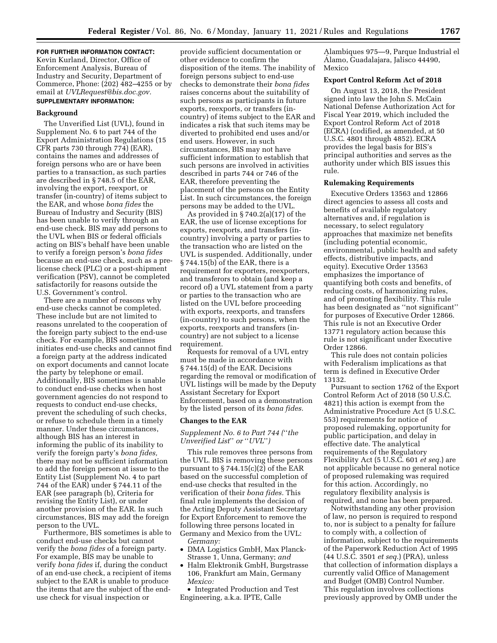# **FOR FURTHER INFORMATION CONTACT:**  Kevin Kurland, Director, Office of Enforcement Analysis, Bureau of Industry and Security, Department of Commerce, Phone: (202) 482–4255 or by email at *[UVLRequest@bis.doc.gov.](mailto:UVLRequest@bis.doc.gov)*

# **SUPPLEMENTARY INFORMATION:**

#### **Background**

The Unverified List (UVL), found in Supplement No. 6 to part 744 of the Export Administration Regulations (15 CFR parts 730 through 774) (EAR), contains the names and addresses of foreign persons who are or have been parties to a transaction, as such parties are described in § 748.5 of the EAR, involving the export, reexport, or transfer (in-country) of items subject to the EAR, and whose *bona fides* the Bureau of Industry and Security (BIS) has been unable to verify through an end-use check. BIS may add persons to the UVL when BIS or federal officials acting on BIS's behalf have been unable to verify a foreign person's *bona fides*  because an end-use check, such as a prelicense check (PLC) or a post-shipment verification (PSV), cannot be completed satisfactorily for reasons outside the U.S. Government's control.

There are a number of reasons why end-use checks cannot be completed. These include but are not limited to reasons unrelated to the cooperation of the foreign party subject to the end-use check. For example, BIS sometimes initiates end-use checks and cannot find a foreign party at the address indicated on export documents and cannot locate the party by telephone or email. Additionally, BIS sometimes is unable to conduct end-use checks when host government agencies do not respond to requests to conduct end-use checks, prevent the scheduling of such checks, or refuse to schedule them in a timely manner. Under these circumstances, although BIS has an interest in informing the public of its inability to verify the foreign party's *bona fides,*  there may not be sufficient information to add the foreign person at issue to the Entity List (Supplement No. 4 to part 744 of the EAR) under § 744.11 of the EAR (see paragraph (b), Criteria for revising the Entity List), or under another provision of the EAR. In such circumstances, BIS may add the foreign person to the UVL.

Furthermore, BIS sometimes is able to conduct end-use checks but cannot verify the *bona fides* of a foreign party. For example, BIS may be unable to verify *bona fides* if, during the conduct of an end-use check, a recipient of items subject to the EAR is unable to produce the items that are the subject of the enduse check for visual inspection or

provide sufficient documentation or other evidence to confirm the disposition of the items. The inability of foreign persons subject to end-use checks to demonstrate their *bona fides*  raises concerns about the suitability of such persons as participants in future exports, reexports, or transfers (incountry) of items subject to the EAR and indicates a risk that such items may be diverted to prohibited end uses and/or end users. However, in such circumstances, BIS may not have sufficient information to establish that such persons are involved in activities described in parts 744 or 746 of the EAR, therefore preventing the placement of the persons on the Entity List. In such circumstances, the foreign persons may be added to the UVL.

As provided in § 740.2(a)(17) of the EAR, the use of license exceptions for exports, reexports, and transfers (incountry) involving a party or parties to the transaction who are listed on the UVL is suspended. Additionally, under § 744.15(b) of the EAR, there is a requirement for exporters, reexporters, and transferors to obtain (and keep a record of) a UVL statement from a party or parties to the transaction who are listed on the UVL before proceeding with exports, reexports, and transfers (in-country) to such persons, when the exports, reexports and transfers (incountry) are not subject to a license requirement.

Requests for removal of a UVL entry must be made in accordance with § 744.15(d) of the EAR. Decisions regarding the removal or modification of UVL listings will be made by the Deputy Assistant Secretary for Export Enforcement, based on a demonstration by the listed person of its *bona fides.* 

#### **Changes to the EAR**

*Supplement No. 6 to Part 744 (*''*the Unverified List*'' *or* ''*UVL*''*)* 

This rule removes three persons from the UVL. BIS is removing these persons pursuant to  $\S 744.15(c)(2)$  of the EAR based on the successful completion of end-use checks that resulted in the verification of their *bona fides.* This final rule implements the decision of the Acting Deputy Assistant Secretary for Export Enforcement to remove the following three persons located in Germany and Mexico from the UVL: *Germany:* 

- DMA Logistics GmbH, Max Planck-Strasse 1, Unna, Germany; *and*
- Halm Elektronik GmbH, Burgstrasse 106, Frankfurt am Main, Germany *Mexico:*

• Integrated Production and Test Engineering, a.k.a. IPTE, Calle

Alambiques 975—9, Parque Industrial el Álamo, Guadalajara, Jalisco 44490, Mexico

## **Export Control Reform Act of 2018**

On August 13, 2018, the President signed into law the John S. McCain National Defense Authorization Act for Fiscal Year 2019, which included the Export Control Reform Act of 2018 (ECRA) (codified, as amended, at 50 U.S.C. 4801 through 4852). ECRA provides the legal basis for BIS's principal authorities and serves as the authority under which BIS issues this rule.

#### **Rulemaking Requirements**

Executive Orders 13563 and 12866 direct agencies to assess all costs and benefits of available regulatory alternatives and, if regulation is necessary, to select regulatory approaches that maximize net benefits (including potential economic, environmental, public health and safety effects, distributive impacts, and equity). Executive Order 13563 emphasizes the importance of quantifying both costs and benefits, of reducing costs, of harmonizing rules, and of promoting flexibility. This rule has been designated as ''not significant'' for purposes of Executive Order 12866. This rule is not an Executive Order 13771 regulatory action because this rule is not significant under Executive Order 12866.

This rule does not contain policies with Federalism implications as that term is defined in Executive Order 13132.

Pursuant to section 1762 of the Export Control Reform Act of 2018 (50 U.S.C. 4821) this action is exempt from the Administrative Procedure Act (5 U.S.C. 553) requirements for notice of proposed rulemaking, opportunity for public participation, and delay in effective date. The analytical requirements of the Regulatory Flexibility Act (5 U.S.C. 601 *et seq.*) are not applicable because no general notice of proposed rulemaking was required for this action. Accordingly, no regulatory flexibility analysis is required, and none has been prepared.

Notwithstanding any other provision of law, no person is required to respond to, nor is subject to a penalty for failure to comply with, a collection of information, subject to the requirements of the Paperwork Reduction Act of 1995 (44 U.S.C. 3501 *et seq.*) (PRA), unless that collection of information displays a currently valid Office of Management and Budget (OMB) Control Number. This regulation involves collections previously approved by OMB under the